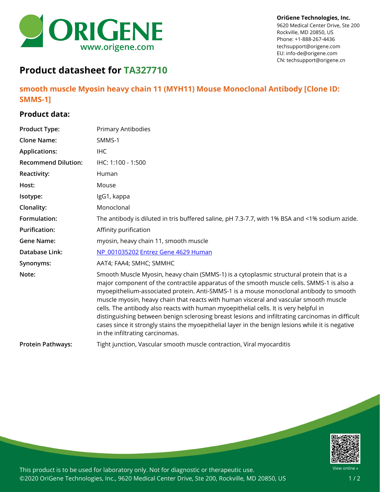

## **OriGene Technologies, Inc.**

9620 Medical Center Drive, Ste 200 Rockville, MD 20850, US Phone: +1-888-267-4436 techsupport@origene.com EU: info-de@origene.com CN: techsupport@origene.cn

## **Product datasheet for TA327710**

**smooth muscle Myosin heavy chain 11 (MYH11) Mouse Monoclonal Antibody [Clone ID: SMMS-1]**

## **Product data:**

| <b>Product Type:</b>       | <b>Primary Antibodies</b>                                                                                                                                                                                                                                                                                                                                                                                                                                                                                                                                                                                                                                                                                     |
|----------------------------|---------------------------------------------------------------------------------------------------------------------------------------------------------------------------------------------------------------------------------------------------------------------------------------------------------------------------------------------------------------------------------------------------------------------------------------------------------------------------------------------------------------------------------------------------------------------------------------------------------------------------------------------------------------------------------------------------------------|
| <b>Clone Name:</b>         | SMMS-1                                                                                                                                                                                                                                                                                                                                                                                                                                                                                                                                                                                                                                                                                                        |
| <b>Applications:</b>       | <b>IHC</b>                                                                                                                                                                                                                                                                                                                                                                                                                                                                                                                                                                                                                                                                                                    |
| <b>Recommend Dilution:</b> | IHC: 1:100 - 1:500                                                                                                                                                                                                                                                                                                                                                                                                                                                                                                                                                                                                                                                                                            |
| <b>Reactivity:</b>         | Human                                                                                                                                                                                                                                                                                                                                                                                                                                                                                                                                                                                                                                                                                                         |
| Host:                      | Mouse                                                                                                                                                                                                                                                                                                                                                                                                                                                                                                                                                                                                                                                                                                         |
| Isotype:                   | IgG1, kappa                                                                                                                                                                                                                                                                                                                                                                                                                                                                                                                                                                                                                                                                                                   |
| Clonality:                 | Monoclonal                                                                                                                                                                                                                                                                                                                                                                                                                                                                                                                                                                                                                                                                                                    |
| Formulation:               | The antibody is diluted in tris buffered saline, pH 7.3-7.7, with 1% BSA and <1% sodium azide.                                                                                                                                                                                                                                                                                                                                                                                                                                                                                                                                                                                                                |
| <b>Purification:</b>       | Affinity purification                                                                                                                                                                                                                                                                                                                                                                                                                                                                                                                                                                                                                                                                                         |
| <b>Gene Name:</b>          | myosin, heavy chain 11, smooth muscle                                                                                                                                                                                                                                                                                                                                                                                                                                                                                                                                                                                                                                                                         |
| Database Link:             | NP 001035202 Entrez Gene 4629 Human                                                                                                                                                                                                                                                                                                                                                                                                                                                                                                                                                                                                                                                                           |
| Synonyms:                  | AAT4; FAA4; SMHC; SMMHC                                                                                                                                                                                                                                                                                                                                                                                                                                                                                                                                                                                                                                                                                       |
| Note:                      | Smooth Muscle Myosin, heavy chain (SMMS-1) is a cytoplasmic structural protein that is a<br>major component of the contractile apparatus of the smooth muscle cells. SMMS-1 is also a<br>myoepithelium-associated protein. Anti-SMMS-1 is a mouse monoclonal antibody to smooth<br>muscle myosin, heavy chain that reacts with human visceral and vascular smooth muscle<br>cells. The antibody also reacts with human myoepithelial cells. It is very helpful in<br>distinguishing between benign sclerosing breast lesions and infiltrating carcinomas in difficult<br>cases since it strongly stains the myoepithelial layer in the benign lesions while it is negative<br>in the infiltrating carcinomas. |
| <b>Protein Pathways:</b>   | Tight junction, Vascular smooth muscle contraction, Viral myocarditis                                                                                                                                                                                                                                                                                                                                                                                                                                                                                                                                                                                                                                         |



This product is to be used for laboratory only. Not for diagnostic or therapeutic use. ©2020 OriGene Technologies, Inc., 9620 Medical Center Drive, Ste 200, Rockville, MD 20850, US